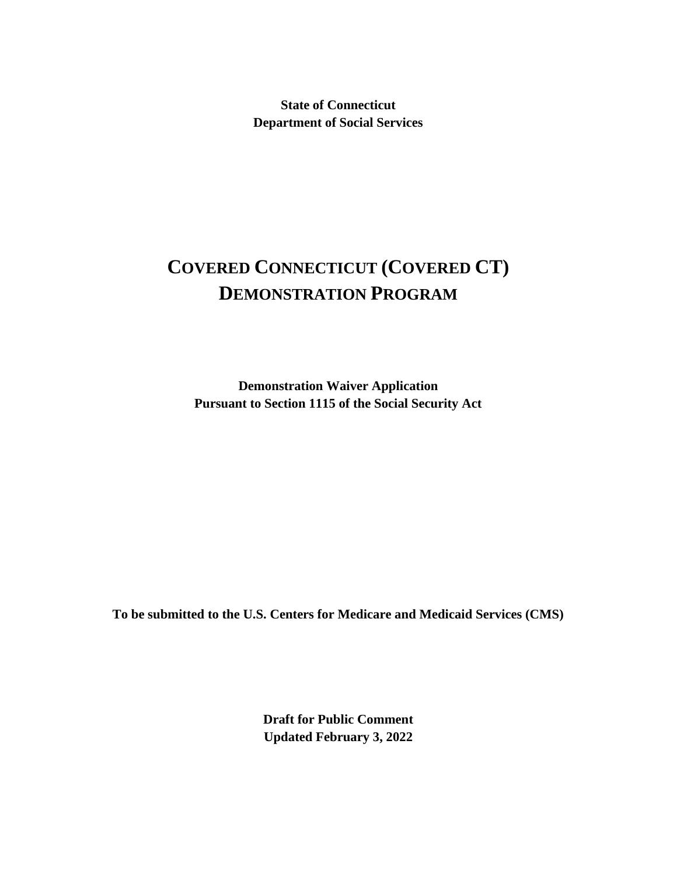**State of Connecticut Department of Social Services**

# **COVERED CONNECTICUT (COVERED CT) DEMONSTRATION PROGRAM**

**Demonstration Waiver Application Pursuant to Section 1115 of the Social Security Act**

**To be submitted to the U.S. Centers for Medicare and Medicaid Services (CMS)**

**Draft for Public Comment Updated February 3, 2022**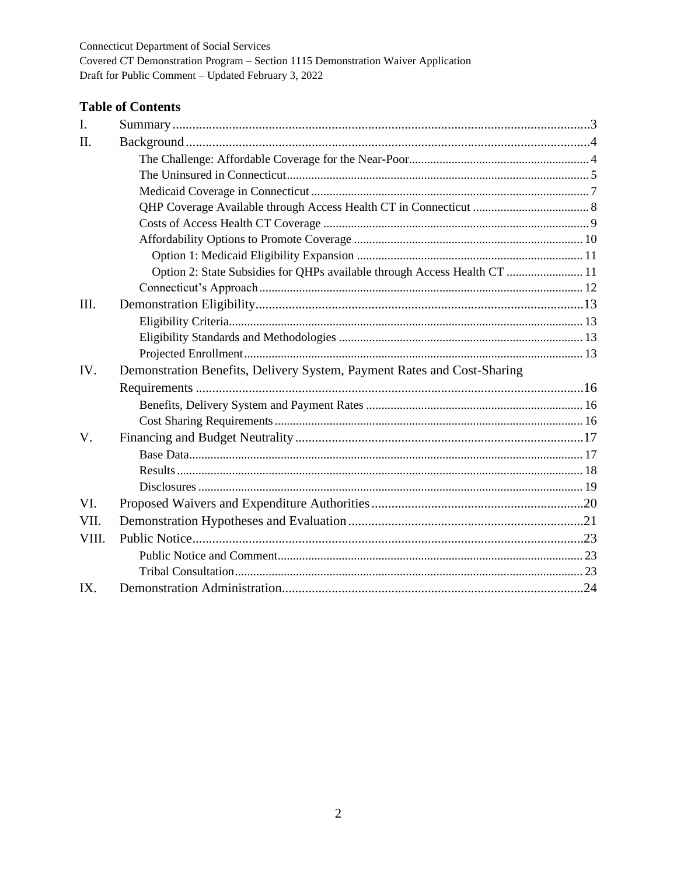# **Table of Contents**

| I.    |                                                                           |  |
|-------|---------------------------------------------------------------------------|--|
| H.    |                                                                           |  |
|       |                                                                           |  |
|       |                                                                           |  |
|       |                                                                           |  |
|       |                                                                           |  |
|       |                                                                           |  |
|       |                                                                           |  |
|       |                                                                           |  |
|       | Option 2: State Subsidies for QHPs available through Access Health CT  11 |  |
|       |                                                                           |  |
| III.  |                                                                           |  |
|       |                                                                           |  |
|       |                                                                           |  |
|       |                                                                           |  |
| IV.   | Demonstration Benefits, Delivery System, Payment Rates and Cost-Sharing   |  |
|       |                                                                           |  |
|       |                                                                           |  |
|       |                                                                           |  |
| V.    |                                                                           |  |
|       |                                                                           |  |
|       |                                                                           |  |
|       |                                                                           |  |
| VI.   |                                                                           |  |
| VII.  |                                                                           |  |
| VIII. |                                                                           |  |
|       |                                                                           |  |
|       |                                                                           |  |
| IX.   |                                                                           |  |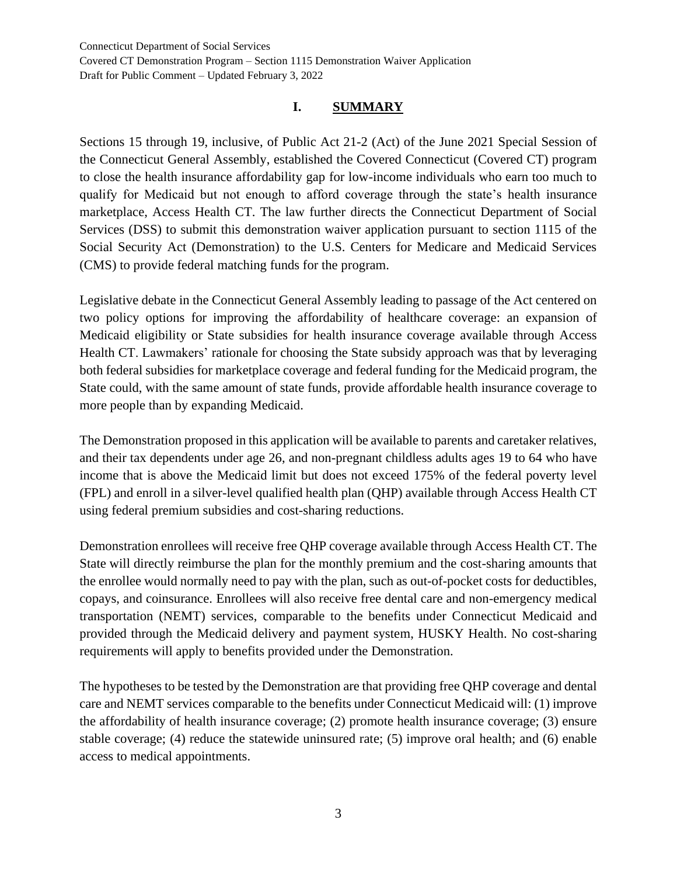## **I. SUMMARY**

Sections 15 through 19, inclusive, of Public Act 21-2 (Act) of the June 2021 Special Session of the Connecticut General Assembly, established the Covered Connecticut (Covered CT) program to close the health insurance affordability gap for low-income individuals who earn too much to qualify for Medicaid but not enough to afford coverage through the state's health insurance marketplace, Access Health CT. The law further directs the Connecticut Department of Social Services (DSS) to submit this demonstration waiver application pursuant to section 1115 of the Social Security Act (Demonstration) to the U.S. Centers for Medicare and Medicaid Services (CMS) to provide federal matching funds for the program.

Legislative debate in the Connecticut General Assembly leading to passage of the Act centered on two policy options for improving the affordability of healthcare coverage: an expansion of Medicaid eligibility or State subsidies for health insurance coverage available through Access Health CT. Lawmakers' rationale for choosing the State subsidy approach was that by leveraging both federal subsidies for marketplace coverage and federal funding for the Medicaid program, the State could, with the same amount of state funds, provide affordable health insurance coverage to more people than by expanding Medicaid.

The Demonstration proposed in this application will be available to parents and caretaker relatives, and their tax dependents under age 26, and non-pregnant childless adults ages 19 to 64 who have income that is above the Medicaid limit but does not exceed 175% of the federal poverty level (FPL) and enroll in a silver-level qualified health plan (QHP) available through Access Health CT using federal premium subsidies and cost-sharing reductions.

Demonstration enrollees will receive free QHP coverage available through Access Health CT. The State will directly reimburse the plan for the monthly premium and the cost-sharing amounts that the enrollee would normally need to pay with the plan, such as out-of-pocket costs for deductibles, copays, and coinsurance. Enrollees will also receive free dental care and non-emergency medical transportation (NEMT) services, comparable to the benefits under Connecticut Medicaid and provided through the Medicaid delivery and payment system, HUSKY Health. No cost-sharing requirements will apply to benefits provided under the Demonstration.

The hypotheses to be tested by the Demonstration are that providing free QHP coverage and dental care and NEMT services comparable to the benefits under Connecticut Medicaid will: (1) improve the affordability of health insurance coverage; (2) promote health insurance coverage; (3) ensure stable coverage; (4) reduce the statewide uninsured rate; (5) improve oral health; and (6) enable access to medical appointments.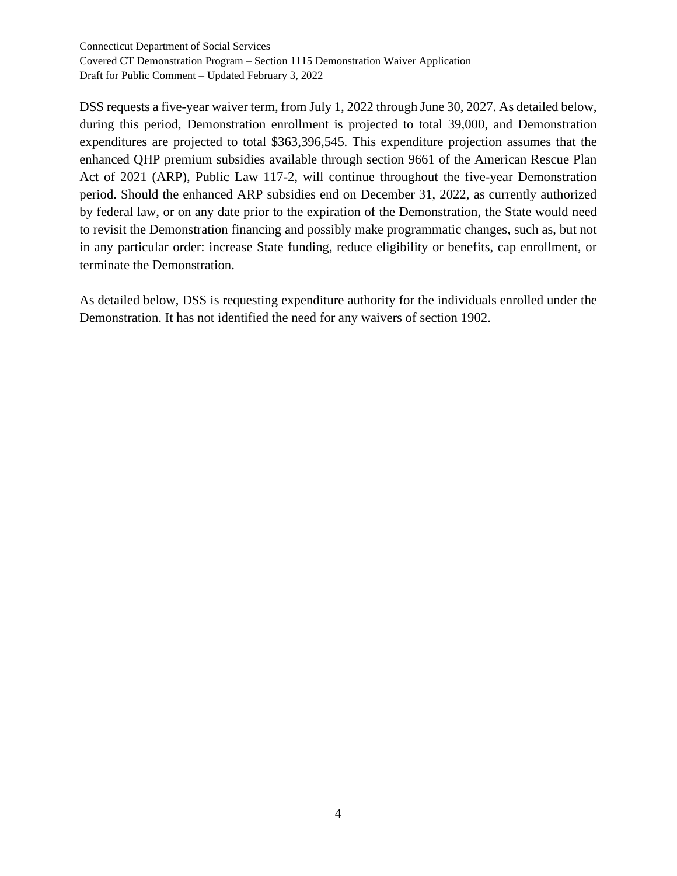DSS requests a five-year waiver term, from July 1, 2022 through June 30, 2027. As detailed below, during this period, Demonstration enrollment is projected to total 39,000, and Demonstration expenditures are projected to total \$363,396,545. This expenditure projection assumes that the enhanced QHP premium subsidies available through section 9661 of the American Rescue Plan Act of 2021 (ARP), Public Law 117-2, will continue throughout the five-year Demonstration period. Should the enhanced ARP subsidies end on December 31, 2022, as currently authorized by federal law, or on any date prior to the expiration of the Demonstration, the State would need to revisit the Demonstration financing and possibly make programmatic changes, such as, but not in any particular order: increase State funding, reduce eligibility or benefits, cap enrollment, or terminate the Demonstration.

As detailed below, DSS is requesting expenditure authority for the individuals enrolled under the Demonstration. It has not identified the need for any waivers of section 1902.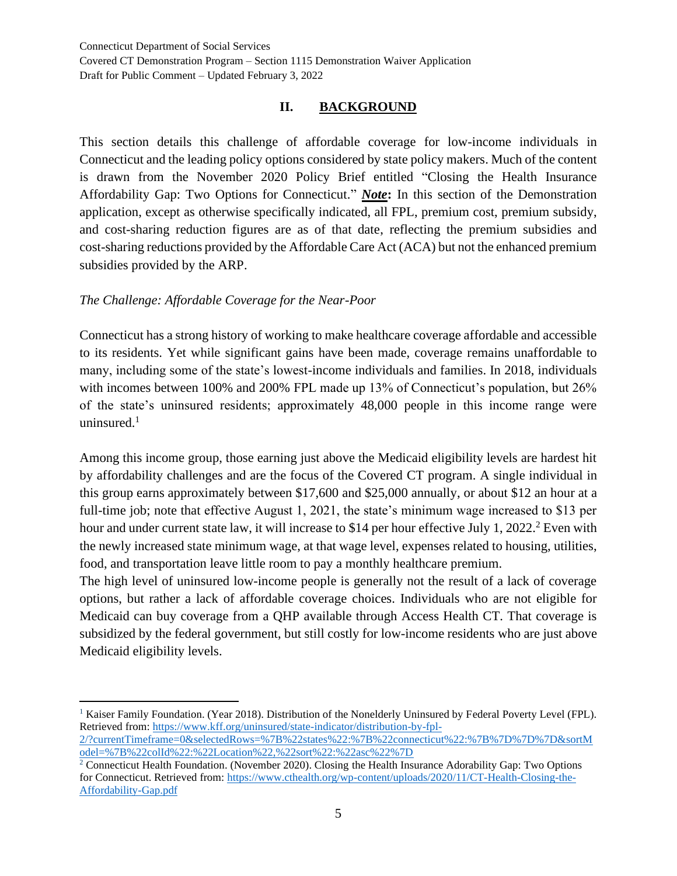#### **II. BACKGROUND**

This section details this challenge of affordable coverage for low-income individuals in Connecticut and the leading policy options considered by state policy makers. Much of the content is drawn from the November 2020 Policy Brief entitled "Closing the Health Insurance Affordability Gap: Two Options for Connecticut." *Note***:** In this section of the Demonstration application, except as otherwise specifically indicated, all FPL, premium cost, premium subsidy, and cost-sharing reduction figures are as of that date, reflecting the premium subsidies and cost-sharing reductions provided by the Affordable Care Act (ACA) but not the enhanced premium subsidies provided by the ARP.

#### *The Challenge: Affordable Coverage for the Near-Poor*

Connecticut has a strong history of working to make healthcare coverage affordable and accessible to its residents. Yet while significant gains have been made, coverage remains unaffordable to many, including some of the state's lowest-income individuals and families. In 2018, individuals with incomes between 100% and 200% FPL made up 13% of Connecticut's population, but 26% of the state's uninsured residents; approximately 48,000 people in this income range were uninsured. $1$ 

Among this income group, those earning just above the Medicaid eligibility levels are hardest hit by affordability challenges and are the focus of the Covered CT program. A single individual in this group earns approximately between \$17,600 and \$25,000 annually, or about \$12 an hour at a full-time job; note that effective August 1, 2021, the state's minimum wage increased to \$13 per hour and under current state law, it will increase to \$14 per hour effective July 1, 2022.<sup>2</sup> Even with the newly increased state minimum wage, at that wage level, expenses related to housing, utilities, food, and transportation leave little room to pay a monthly healthcare premium.

The high level of uninsured low-income people is generally not the result of a lack of coverage options, but rather a lack of affordable coverage choices. Individuals who are not eligible for Medicaid can buy coverage from a QHP available through Access Health CT. That coverage is subsidized by the federal government, but still costly for low-income residents who are just above Medicaid eligibility levels.

<sup>&</sup>lt;sup>1</sup> Kaiser Family Foundation. (Year 2018). Distribution of the Nonelderly Uninsured by Federal Poverty Level (FPL). Retrieved from: [https://www.kff.org/uninsured/state-indicator/distribution-by-fpl-](https://www.kff.org/uninsured/state-indicator/distribution-by-fpl-2/?currentTimeframe=0&selectedRows=%7B%22states%22:%7B%22connecticut%22:%7B%7D%7D%7D&sortModel=%7B%22colId%22:%22Location%22,%22sort%22:%22asc%22%7D)

[<sup>2/?</sup>currentTimeframe=0&selectedRows=%7B%22states%22:%7B%22connecticut%22:%7B%7D%7D%7D&sortM](https://www.kff.org/uninsured/state-indicator/distribution-by-fpl-2/?currentTimeframe=0&selectedRows=%7B%22states%22:%7B%22connecticut%22:%7B%7D%7D%7D&sortModel=%7B%22colId%22:%22Location%22,%22sort%22:%22asc%22%7D) [odel=%7B%22colId%22:%22Location%22,%22sort%22:%22asc%22%7D](https://www.kff.org/uninsured/state-indicator/distribution-by-fpl-2/?currentTimeframe=0&selectedRows=%7B%22states%22:%7B%22connecticut%22:%7B%7D%7D%7D&sortModel=%7B%22colId%22:%22Location%22,%22sort%22:%22asc%22%7D)

<sup>&</sup>lt;sup>2</sup> Connecticut Health Foundation. (November 2020). Closing the Health Insurance Adorability Gap: Two Options for Connecticut. Retrieved from: [https://www.cthealth.org/wp-content/uploads/2020/11/CT-Health-Closing-the-](https://www.cthealth.org/wp-content/uploads/2020/11/CT-Health-Closing-the-Affordability-Gap.pdf)[Affordability-Gap.pdf](https://www.cthealth.org/wp-content/uploads/2020/11/CT-Health-Closing-the-Affordability-Gap.pdf)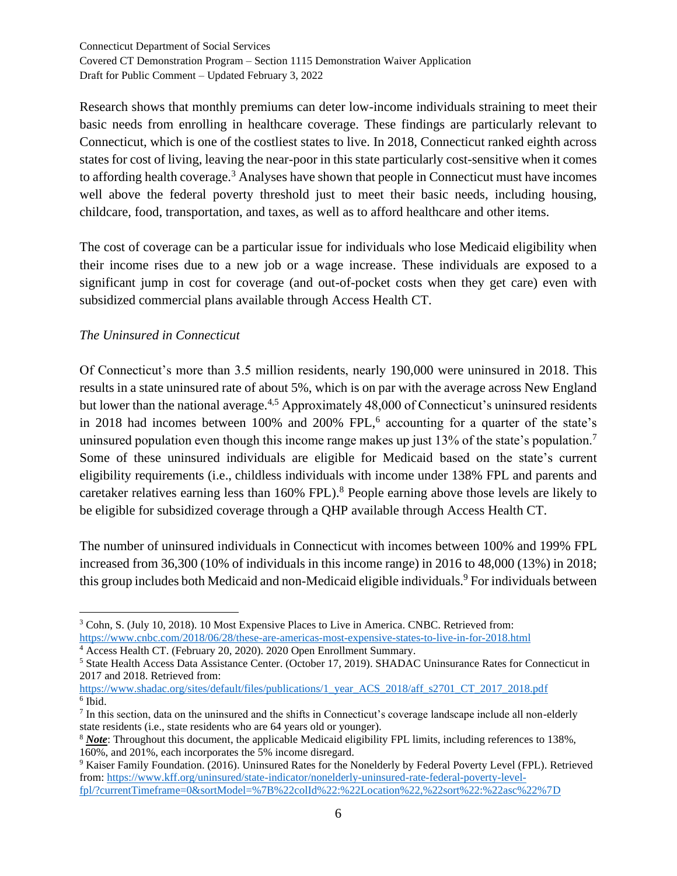Research shows that monthly premiums can deter low-income individuals straining to meet their basic needs from enrolling in healthcare coverage. These findings are particularly relevant to Connecticut, which is one of the costliest states to live. In 2018, Connecticut ranked eighth across states for cost of living, leaving the near-poor in this state particularly cost-sensitive when it comes to affording health coverage.<sup>3</sup> Analyses have shown that people in Connecticut must have incomes well above the federal poverty threshold just to meet their basic needs, including housing, childcare, food, transportation, and taxes, as well as to afford healthcare and other items.

The cost of coverage can be a particular issue for individuals who lose Medicaid eligibility when their income rises due to a new job or a wage increase. These individuals are exposed to a significant jump in cost for coverage (and out-of-pocket costs when they get care) even with subsidized commercial plans available through Access Health CT.

#### *The Uninsured in Connecticut*

Of Connecticut's more than 3.5 million residents, nearly 190,000 were uninsured in 2018. This results in a state uninsured rate of about 5%, which is on par with the average across New England but lower than the national average.<sup>4,5</sup> Approximately 48,000 of Connecticut's uninsured residents in 2018 had incomes between  $100\%$  and  $200\%$  FPL,<sup>6</sup> accounting for a quarter of the state's uninsured population even though this income range makes up just 13% of the state's population.<sup>7</sup> Some of these uninsured individuals are eligible for Medicaid based on the state's current eligibility requirements (i.e., childless individuals with income under 138% FPL and parents and caretaker relatives earning less than 160% FPL).<sup>8</sup> People earning above those levels are likely to be eligible for subsidized coverage through a QHP available through Access Health CT.

The number of uninsured individuals in Connecticut with incomes between 100% and 199% FPL increased from 36,300 (10% of individuals in this income range) in 2016 to 48,000 (13%) in 2018; this group includes both Medicaid and non-Medicaid eligible individuals.<sup>9</sup> For individuals between

<sup>4</sup> Access Health CT. (February 20, 2020). 2020 Open Enrollment Summary.

<sup>3</sup> Cohn, S. (July 10, 2018). 10 Most Expensive Places to Live in America. CNBC. Retrieved from: <https://www.cnbc.com/2018/06/28/these-are-americas-most-expensive-states-to-live-in-for-2018.html>

<sup>5</sup> State Health Access Data Assistance Center. (October 17, 2019). SHADAC Uninsurance Rates for Connecticut in 2017 and 2018. Retrieved from:

[https://www.shadac.org/sites/default/files/publications/1\\_year\\_ACS\\_2018/aff\\_s2701\\_CT\\_2017\\_2018.pdf](https://www.shadac.org/sites/default/files/publications/1_year_ACS_2018/aff_s2701_CT_2017_2018.pdf) 6 Ibid.

 $<sup>7</sup>$  In this section, data on the uninsured and the shifts in Connecticut's coverage landscape include all non-elderly</sup> state residents (i.e., state residents who are 64 years old or younger).

<sup>8</sup> *Note*: Throughout this document, the applicable Medicaid eligibility FPL limits, including references to 138%, 160%, and 201%, each incorporates the 5% income disregard.

<sup>9</sup> Kaiser Family Foundation. (2016). Uninsured Rates for the Nonelderly by Federal Poverty Level (FPL). Retrieved from[: https://www.kff.org/uninsured/state-indicator/nonelderly-uninsured-rate-federal-poverty-level](https://www.kff.org/uninsured/state-indicator/nonelderly-uninsured-rate-federal-poverty-level-fpl/?currentTimeframe=0&sortModel=%7B%22colId%22:%22Location%22,%22sort%22:%22asc%22%7D)[fpl/?currentTimeframe=0&sortModel=%7B%22colId%22:%22Location%22,%22sort%22:%22asc%22%7D](https://www.kff.org/uninsured/state-indicator/nonelderly-uninsured-rate-federal-poverty-level-fpl/?currentTimeframe=0&sortModel=%7B%22colId%22:%22Location%22,%22sort%22:%22asc%22%7D)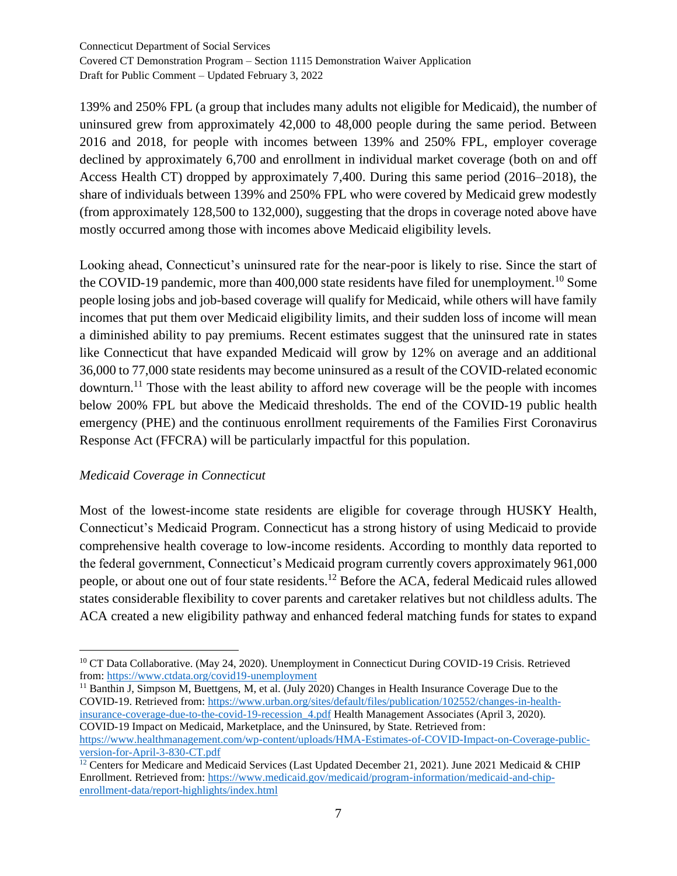139% and 250% FPL (a group that includes many adults not eligible for Medicaid), the number of uninsured grew from approximately 42,000 to 48,000 people during the same period. Between 2016 and 2018, for people with incomes between 139% and 250% FPL, employer coverage declined by approximately 6,700 and enrollment in individual market coverage (both on and off Access Health CT) dropped by approximately 7,400. During this same period (2016–2018), the share of individuals between 139% and 250% FPL who were covered by Medicaid grew modestly (from approximately 128,500 to 132,000), suggesting that the drops in coverage noted above have mostly occurred among those with incomes above Medicaid eligibility levels.

Looking ahead, Connecticut's uninsured rate for the near-poor is likely to rise. Since the start of the COVID-19 pandemic, more than 400,000 state residents have filed for unemployment.<sup>10</sup> Some people losing jobs and job-based coverage will qualify for Medicaid, while others will have family incomes that put them over Medicaid eligibility limits, and their sudden loss of income will mean a diminished ability to pay premiums. Recent estimates suggest that the uninsured rate in states like Connecticut that have expanded Medicaid will grow by 12% on average and an additional 36,000 to 77,000 state residents may become uninsured as a result of the COVID-related economic downturn.<sup>11</sup> Those with the least ability to afford new coverage will be the people with incomes below 200% FPL but above the Medicaid thresholds. The end of the COVID-19 public health emergency (PHE) and the continuous enrollment requirements of the Families First Coronavirus Response Act (FFCRA) will be particularly impactful for this population.

## *Medicaid Coverage in Connecticut*

Most of the lowest-income state residents are eligible for coverage through HUSKY Health, Connecticut's Medicaid Program. Connecticut has a strong history of using Medicaid to provide comprehensive health coverage to low-income residents. According to monthly data reported to the federal government, Connecticut's Medicaid program currently covers approximately 961,000 people, or about one out of four state residents.<sup>12</sup> Before the ACA, federal Medicaid rules allowed states considerable flexibility to cover parents and caretaker relatives but not childless adults. The ACA created a new eligibility pathway and enhanced federal matching funds for states to expand

<sup>11</sup> Banthin J, Simpson M, Buettgens, M, et al. (July 2020) Changes in Health Insurance Coverage Due to the COVID-19. Retrieved from: [https://www.urban.org/sites/default/files/publication/102552/changes-in-health](https://www.urban.org/sites/default/files/publication/102552/changes-in-health-insurance-coverage-due-to-the-covid-19-recession_4.pdf)[insurance-coverage-due-to-the-covid-19-recession\\_4.pdf](https://www.urban.org/sites/default/files/publication/102552/changes-in-health-insurance-coverage-due-to-the-covid-19-recession_4.pdf) Health Management Associates (April 3, 2020). COVID-19 Impact on Medicaid, Marketplace, and the Uninsured, by State. Retrieved from: [https://www.healthmanagement.com/wp-content/uploads/HMA-Estimates-of-COVID-Impact-on-Coverage-public](https://www.healthmanagement.com/wp-content/uploads/HMA-Estimates-of-COVID-Impact-on-Coverage-public-version-for-April-3-830-CT.pdf)[version-for-April-3-830-CT.pdf](https://www.healthmanagement.com/wp-content/uploads/HMA-Estimates-of-COVID-Impact-on-Coverage-public-version-for-April-3-830-CT.pdf)

<sup>&</sup>lt;sup>10</sup> CT Data Collaborative. (May 24, 2020). Unemployment in Connecticut During COVID-19 Crisis. Retrieved from[: https://www.ctdata.org/covid19-unemployment](https://www.ctdata.org/covid19-unemployment)

<sup>&</sup>lt;sup>12</sup> Centers for Medicare and Medicaid Services (Last Updated December 21, 2021). June 2021 Medicaid & CHIP Enrollment. Retrieved from: [https://www.medicaid.gov/medicaid/program-information/medicaid-and-chip](https://www.medicaid.gov/medicaid/program-information/medicaid-and-chip-enrollment-data/report-highlights/index.html)[enrollment-data/report-highlights/index.html](https://www.medicaid.gov/medicaid/program-information/medicaid-and-chip-enrollment-data/report-highlights/index.html)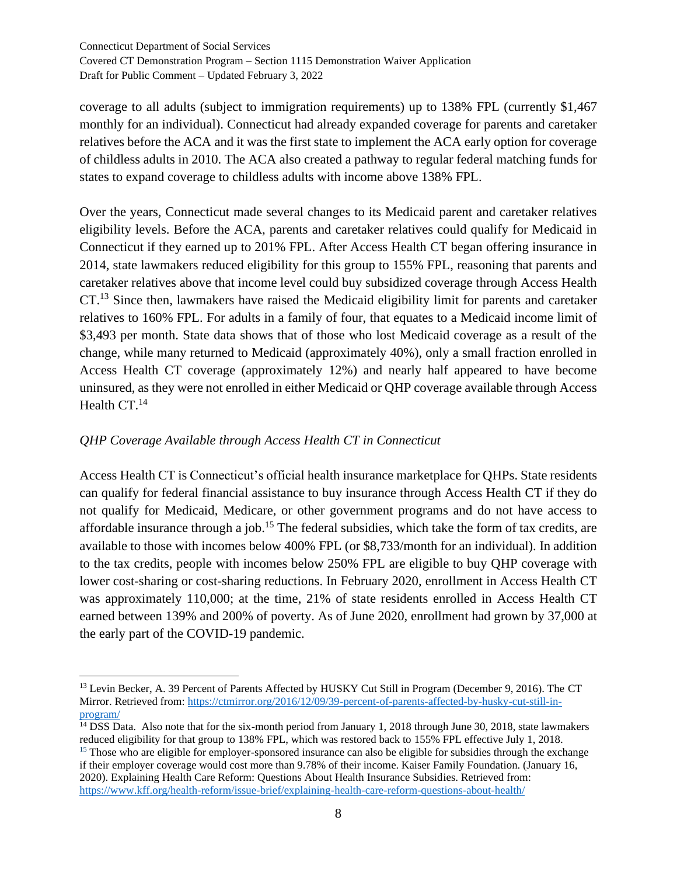coverage to all adults (subject to immigration requirements) up to 138% FPL (currently \$1,467 monthly for an individual). Connecticut had already expanded coverage for parents and caretaker relatives before the ACA and it was the first state to implement the ACA early option for coverage of childless adults in 2010. The ACA also created a pathway to regular federal matching funds for states to expand coverage to childless adults with income above 138% FPL.

Over the years, Connecticut made several changes to its Medicaid parent and caretaker relatives eligibility levels. Before the ACA, parents and caretaker relatives could qualify for Medicaid in Connecticut if they earned up to 201% FPL. After Access Health CT began offering insurance in 2014, state lawmakers reduced eligibility for this group to 155% FPL, reasoning that parents and caretaker relatives above that income level could buy subsidized coverage through Access Health CT.<sup>13</sup> Since then, lawmakers have raised the Medicaid eligibility limit for parents and caretaker relatives to 160% FPL. For adults in a family of four, that equates to a Medicaid income limit of \$3,493 per month. State data shows that of those who lost Medicaid coverage as a result of the change, while many returned to Medicaid (approximately 40%), only a small fraction enrolled in Access Health CT coverage (approximately 12%) and nearly half appeared to have become uninsured, as they were not enrolled in either Medicaid or QHP coverage available through Access Health CT.<sup>14</sup>

## *QHP Coverage Available through Access Health CT in Connecticut*

Access Health CT is Connecticut's official health insurance marketplace for QHPs. State residents can qualify for federal financial assistance to buy insurance through Access Health CT if they do not qualify for Medicaid, Medicare, or other government programs and do not have access to affordable insurance through a job.<sup>15</sup> The federal subsidies, which take the form of tax credits, are available to those with incomes below 400% FPL (or \$8,733/month for an individual). In addition to the tax credits, people with incomes below 250% FPL are eligible to buy QHP coverage with lower cost-sharing or cost-sharing reductions. In February 2020, enrollment in Access Health CT was approximately 110,000; at the time, 21% of state residents enrolled in Access Health CT earned between 139% and 200% of poverty. As of June 2020, enrollment had grown by 37,000 at the early part of the COVID-19 pandemic.

<sup>&</sup>lt;sup>13</sup> Levin Becker, A. 39 Percent of Parents Affected by HUSKY Cut Still in Program (December 9, 2016). The CT Mirror. Retrieved from: [https://ctmirror.org/2016/12/09/39-percent-of-parents-affected-by-husky-cut-still-in](https://ctmirror.org/2016/12/09/39-percent-of-parents-affected-by-husky-cut-still-in-program/)[program/](https://ctmirror.org/2016/12/09/39-percent-of-parents-affected-by-husky-cut-still-in-program/)

<sup>&</sup>lt;sup>14</sup> DSS Data. Also note that for the six-month period from January 1, 2018 through June 30, 2018, state lawmakers reduced eligibility for that group to 138% FPL, which was restored back to 155% FPL effective July 1, 2018. <sup>15</sup> Those who are eligible for employer-sponsored insurance can also be eligible for subsidies through the exchange if their employer coverage would cost more than 9.78% of their income. Kaiser Family Foundation. (January 16,

<sup>2020).</sup> Explaining Health Care Reform: Questions About Health Insurance Subsidies. Retrieved from: <https://www.kff.org/health-reform/issue-brief/explaining-health-care-reform-questions-about-health/>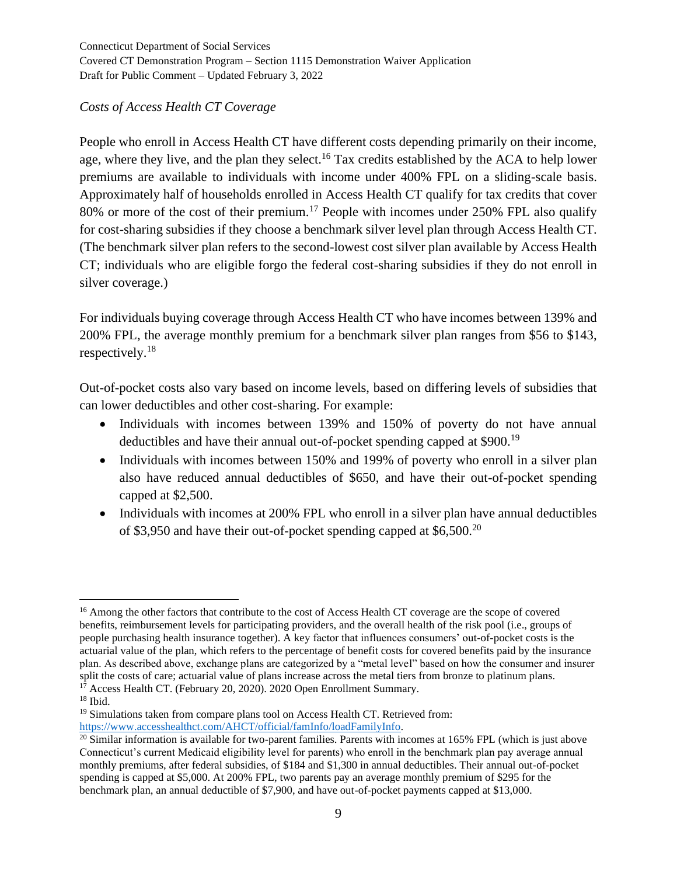## *Costs of Access Health CT Coverage*

People who enroll in Access Health CT have different costs depending primarily on their income, age, where they live, and the plan they select.<sup>16</sup> Tax credits established by the ACA to help lower premiums are available to individuals with income under 400% FPL on a sliding-scale basis. Approximately half of households enrolled in Access Health CT qualify for tax credits that cover 80% or more of the cost of their premium.<sup>17</sup> People with incomes under 250% FPL also qualify for cost-sharing subsidies if they choose a benchmark silver level plan through Access Health CT. (The benchmark silver plan refers to the second-lowest cost silver plan available by Access Health CT; individuals who are eligible forgo the federal cost-sharing subsidies if they do not enroll in silver coverage.)

For individuals buying coverage through Access Health CT who have incomes between 139% and 200% FPL, the average monthly premium for a benchmark silver plan ranges from \$56 to \$143, respectively.<sup>18</sup>

Out-of-pocket costs also vary based on income levels, based on differing levels of subsidies that can lower deductibles and other cost-sharing. For example:

- Individuals with incomes between 139% and 150% of poverty do not have annual deductibles and have their annual out-of-pocket spending capped at \$900.<sup>19</sup>
- Individuals with incomes between 150% and 199% of poverty who enroll in a silver plan also have reduced annual deductibles of \$650, and have their out-of-pocket spending capped at \$2,500.
- Individuals with incomes at 200% FPL who enroll in a silver plan have annual deductibles of \$3,950 and have their out-of-pocket spending capped at \$6,500.<sup>20</sup>

<sup>&</sup>lt;sup>16</sup> Among the other factors that contribute to the cost of Access Health CT coverage are the scope of covered benefits, reimbursement levels for participating providers, and the overall health of the risk pool (i.e., groups of people purchasing health insurance together). A key factor that influences consumers' out-of-pocket costs is the actuarial value of the plan, which refers to the percentage of benefit costs for covered benefits paid by the insurance plan. As described above, exchange plans are categorized by a "metal level" based on how the consumer and insurer split the costs of care; actuarial value of plans increase across the metal tiers from bronze to platinum plans.  $1^7$  Access Health CT. (February 20, 2020). 2020 Open Enrollment Summary.

 $18$  Ibid.

<sup>&</sup>lt;sup>19</sup> Simulations taken from compare plans tool on Access Health CT. Retrieved from:

[https://www.accesshealthct.com/AHCT/official/famInfo/loadFamilyInfo.](https://www.accesshealthct.com/AHCT/official/famInfo/loadFamilyInfo)

 $^{20}$  Similar information is available for two-parent families. Parents with incomes at 165% FPL (which is just above Connecticut's current Medicaid eligibility level for parents) who enroll in the benchmark plan pay average annual monthly premiums, after federal subsidies, of \$184 and \$1,300 in annual deductibles. Their annual out-of-pocket spending is capped at \$5,000. At 200% FPL, two parents pay an average monthly premium of \$295 for the benchmark plan, an annual deductible of \$7,900, and have out-of-pocket payments capped at \$13,000.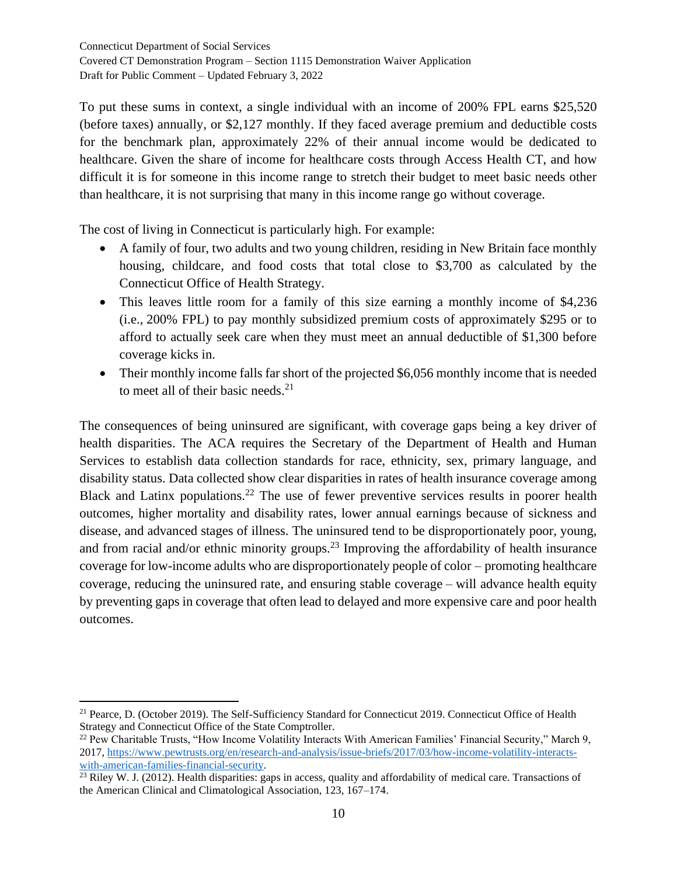To put these sums in context, a single individual with an income of 200% FPL earns \$25,520 (before taxes) annually, or \$2,127 monthly. If they faced average premium and deductible costs for the benchmark plan, approximately 22% of their annual income would be dedicated to healthcare. Given the share of income for healthcare costs through Access Health CT, and how difficult it is for someone in this income range to stretch their budget to meet basic needs other than healthcare, it is not surprising that many in this income range go without coverage.

The cost of living in Connecticut is particularly high. For example:

- A family of four, two adults and two young children, residing in New Britain face monthly housing, childcare, and food costs that total close to \$3,700 as calculated by the Connecticut Office of Health Strategy.
- This leaves little room for a family of this size earning a monthly income of \$4,236 (i.e., 200% FPL) to pay monthly subsidized premium costs of approximately \$295 or to afford to actually seek care when they must meet an annual deductible of \$1,300 before coverage kicks in.
- Their monthly income falls far short of the projected \$6,056 monthly income that is needed to meet all of their basic needs. $21$

The consequences of being uninsured are significant, with coverage gaps being a key driver of health disparities. The ACA requires the Secretary of the Department of Health and Human Services to establish data collection standards for race, ethnicity, sex, primary language, and disability status. Data collected show clear disparities in rates of health insurance coverage among Black and Latinx populations.<sup>22</sup> The use of fewer preventive services results in poorer health outcomes, higher mortality and disability rates, lower annual earnings because of sickness and disease, and advanced stages of illness. The uninsured tend to be disproportionately poor, young, and from racial and/or ethnic minority groups.<sup>23</sup> Improving the affordability of health insurance coverage for low-income adults who are disproportionately people of color – promoting healthcare coverage, reducing the uninsured rate, and ensuring stable coverage – will advance health equity by preventing gaps in coverage that often lead to delayed and more expensive care and poor health outcomes.

<sup>&</sup>lt;sup>21</sup> Pearce, D. (October 2019). The Self-Sufficiency Standard for Connecticut 2019. Connecticut Office of Health Strategy and Connecticut Office of the State Comptroller.

<sup>&</sup>lt;sup>22</sup> Pew Charitable Trusts, "How Income Volatility Interacts With American Families' Financial Security," March 9, 2017, [https://www.pewtrusts.org/en/research-and-analysis/issue-briefs/2017/03/how-income-volatility-interacts](https://www.pewtrusts.org/en/research-and-analysis/issue-briefs/2017/03/how-income-volatility-interacts-with-american-families-financial-security)[with-american-families-financial-security.](https://www.pewtrusts.org/en/research-and-analysis/issue-briefs/2017/03/how-income-volatility-interacts-with-american-families-financial-security)

<sup>&</sup>lt;sup>23</sup> Riley W. J. (2012). Health disparities: gaps in access, quality and affordability of medical care. Transactions of the American Clinical and Climatological Association, 123, 167–174.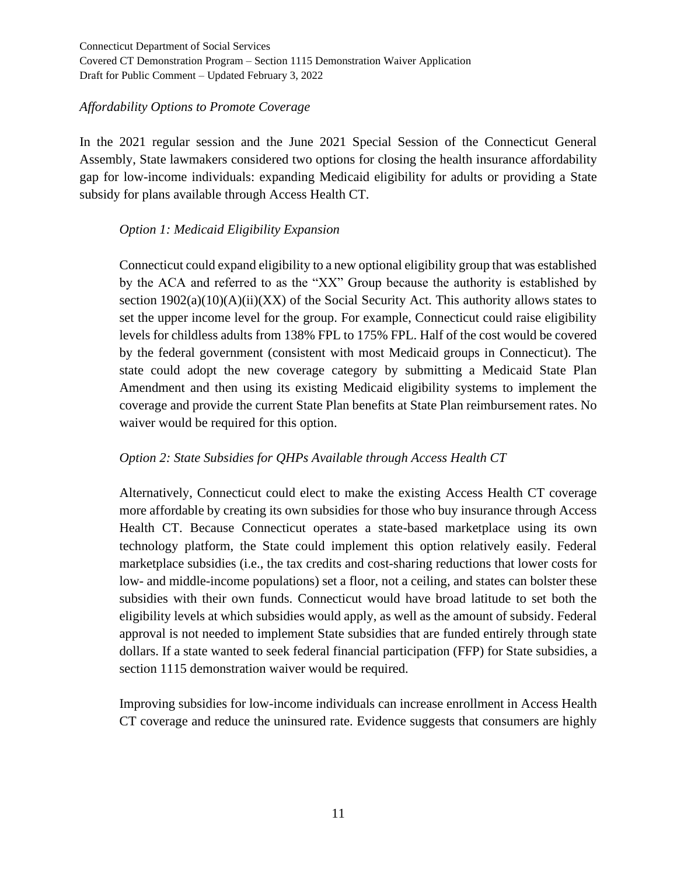#### *Affordability Options to Promote Coverage*

In the 2021 regular session and the June 2021 Special Session of the Connecticut General Assembly, State lawmakers considered two options for closing the health insurance affordability gap for low-income individuals: expanding Medicaid eligibility for adults or providing a State subsidy for plans available through Access Health CT.

#### *Option 1: Medicaid Eligibility Expansion*

Connecticut could expand eligibility to a new optional eligibility group that was established by the ACA and referred to as the "XX" Group because the authority is established by section  $1902(a)(10)(A)(ii)(XX)$  of the Social Security Act. This authority allows states to set the upper income level for the group. For example, Connecticut could raise eligibility levels for childless adults from 138% FPL to 175% FPL. Half of the cost would be covered by the federal government (consistent with most Medicaid groups in Connecticut). The state could adopt the new coverage category by submitting a Medicaid State Plan Amendment and then using its existing Medicaid eligibility systems to implement the coverage and provide the current State Plan benefits at State Plan reimbursement rates. No waiver would be required for this option.

## *Option 2: State Subsidies for QHPs Available through Access Health CT*

Alternatively, Connecticut could elect to make the existing Access Health CT coverage more affordable by creating its own subsidies for those who buy insurance through Access Health CT. Because Connecticut operates a state-based marketplace using its own technology platform, the State could implement this option relatively easily. Federal marketplace subsidies (i.e., the tax credits and cost-sharing reductions that lower costs for low- and middle-income populations) set a floor, not a ceiling, and states can bolster these subsidies with their own funds. Connecticut would have broad latitude to set both the eligibility levels at which subsidies would apply, as well as the amount of subsidy. Federal approval is not needed to implement State subsidies that are funded entirely through state dollars. If a state wanted to seek federal financial participation (FFP) for State subsidies, a section 1115 demonstration waiver would be required.

Improving subsidies for low-income individuals can increase enrollment in Access Health CT coverage and reduce the uninsured rate. Evidence suggests that consumers are highly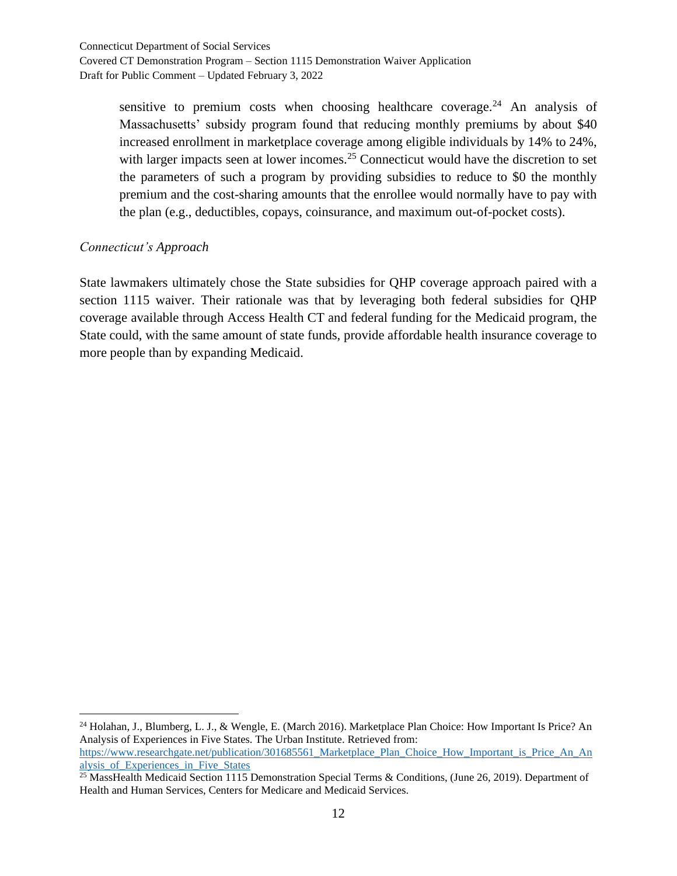> sensitive to premium costs when choosing healthcare coverage.<sup>24</sup> An analysis of Massachusetts' subsidy program found that reducing monthly premiums by about \$40 increased enrollment in marketplace coverage among eligible individuals by 14% to 24%, with larger impacts seen at lower incomes.<sup>25</sup> Connecticut would have the discretion to set the parameters of such a program by providing subsidies to reduce to \$0 the monthly premium and the cost-sharing amounts that the enrollee would normally have to pay with the plan (e.g., deductibles, copays, coinsurance, and maximum out-of-pocket costs).

#### *Connecticut's Approach*

State lawmakers ultimately chose the State subsidies for QHP coverage approach paired with a section 1115 waiver. Their rationale was that by leveraging both federal subsidies for QHP coverage available through Access Health CT and federal funding for the Medicaid program, the State could, with the same amount of state funds, provide affordable health insurance coverage to more people than by expanding Medicaid.

<sup>24</sup> Holahan, J., Blumberg, L. J., & Wengle, E. (March 2016). Marketplace Plan Choice: How Important Is Price? An Analysis of Experiences in Five States. The Urban Institute. Retrieved from: [https://www.researchgate.net/publication/301685561\\_Marketplace\\_Plan\\_Choice\\_How\\_Important\\_is\\_Price\\_An\\_An](https://www.researchgate.net/publication/301685561_Marketplace_Plan_Choice_How_Important_is_Price_An_Analysis_of_Experiences_in_Five_States) [alysis\\_of\\_Experiences\\_in\\_Five\\_States](https://www.researchgate.net/publication/301685561_Marketplace_Plan_Choice_How_Important_is_Price_An_Analysis_of_Experiences_in_Five_States)

<sup>&</sup>lt;sup>25</sup> MassHealth Medicaid Section 1115 Demonstration Special Terms & Conditions, (June 26, 2019). Department of Health and Human Services, Centers for Medicare and Medicaid Services.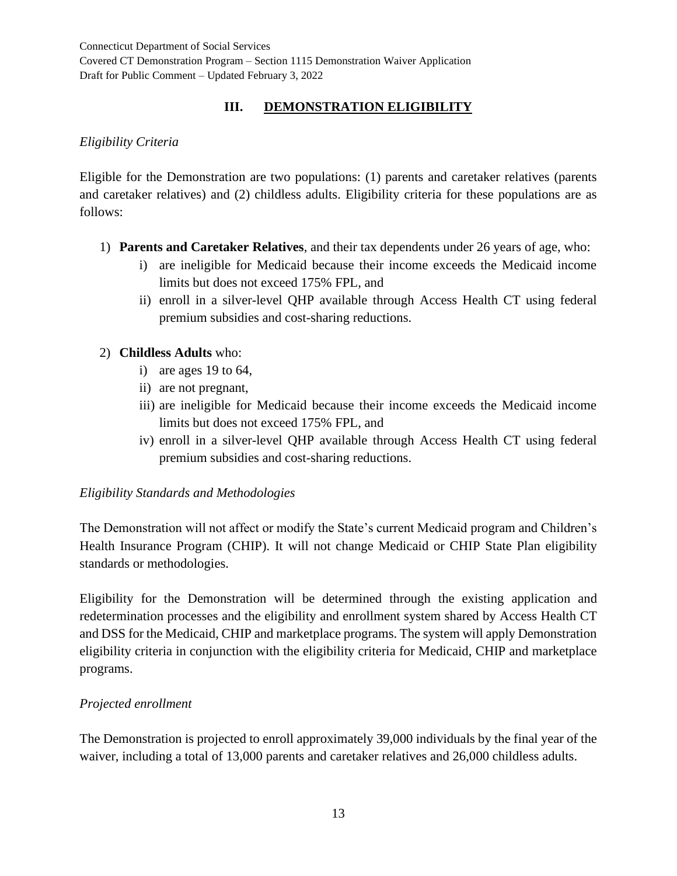# **III. DEMONSTRATION ELIGIBILITY**

# *Eligibility Criteria*

Eligible for the Demonstration are two populations: (1) parents and caretaker relatives (parents and caretaker relatives) and (2) childless adults. Eligibility criteria for these populations are as follows:

- 1) **Parents and Caretaker Relatives**, and their tax dependents under 26 years of age, who:
	- i) are ineligible for Medicaid because their income exceeds the Medicaid income limits but does not exceed 175% FPL, and
	- ii) enroll in a silver-level QHP available through Access Health CT using federal premium subsidies and cost-sharing reductions.

# 2) **Childless Adults** who:

- i) are ages 19 to 64,
- ii) are not pregnant,
- iii) are ineligible for Medicaid because their income exceeds the Medicaid income limits but does not exceed 175% FPL, and
- iv) enroll in a silver-level QHP available through Access Health CT using federal premium subsidies and cost-sharing reductions.

## *Eligibility Standards and Methodologies*

The Demonstration will not affect or modify the State's current Medicaid program and Children's Health Insurance Program (CHIP). It will not change Medicaid or CHIP State Plan eligibility standards or methodologies.

Eligibility for the Demonstration will be determined through the existing application and redetermination processes and the eligibility and enrollment system shared by Access Health CT and DSS for the Medicaid, CHIP and marketplace programs. The system will apply Demonstration eligibility criteria in conjunction with the eligibility criteria for Medicaid, CHIP and marketplace programs.

## *Projected enrollment*

The Demonstration is projected to enroll approximately 39,000 individuals by the final year of the waiver, including a total of 13,000 parents and caretaker relatives and 26,000 childless adults.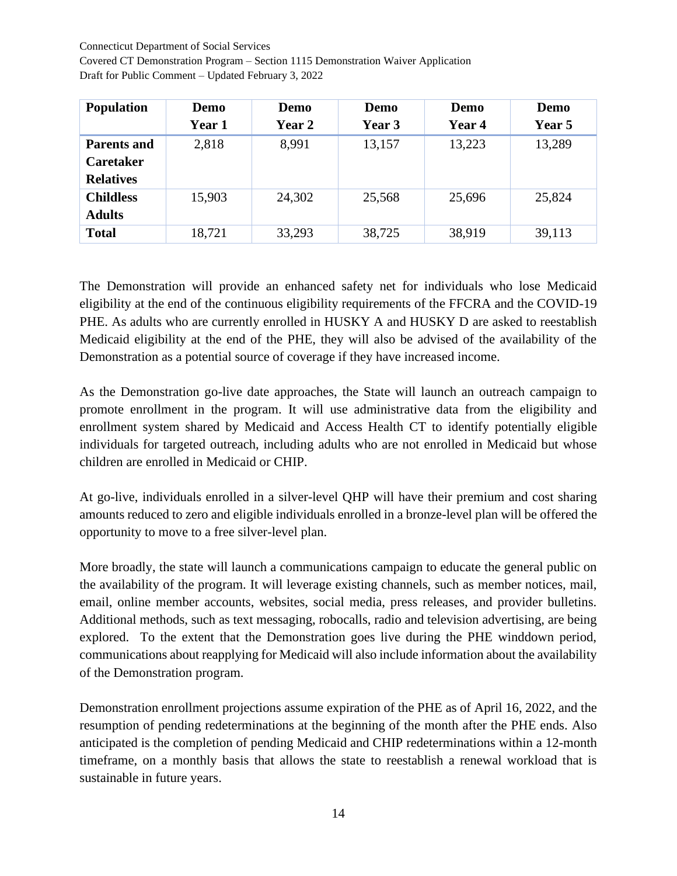Connecticut Department of Social Services

Covered CT Demonstration Program – Section 1115 Demonstration Waiver Application Draft for Public Comment – Updated February 3, 2022

| <b>Population</b>  | Demo   | Demo   | Demo   | Demo   | Demo   |
|--------------------|--------|--------|--------|--------|--------|
|                    | Year 1 | Year 2 | Year 3 | Year 4 | Year 5 |
| <b>Parents and</b> | 2,818  | 8,991  | 13,157 | 13,223 | 13,289 |
| <b>Caretaker</b>   |        |        |        |        |        |
| <b>Relatives</b>   |        |        |        |        |        |
| <b>Childless</b>   | 15,903 | 24,302 | 25,568 | 25,696 | 25,824 |
| <b>Adults</b>      |        |        |        |        |        |
| <b>Total</b>       | 18,721 | 33,293 | 38,725 | 38,919 | 39,113 |

The Demonstration will provide an enhanced safety net for individuals who lose Medicaid eligibility at the end of the continuous eligibility requirements of the FFCRA and the COVID-19 PHE. As adults who are currently enrolled in HUSKY A and HUSKY D are asked to reestablish Medicaid eligibility at the end of the PHE, they will also be advised of the availability of the Demonstration as a potential source of coverage if they have increased income.

As the Demonstration go-live date approaches, the State will launch an outreach campaign to promote enrollment in the program. It will use administrative data from the eligibility and enrollment system shared by Medicaid and Access Health CT to identify potentially eligible individuals for targeted outreach, including adults who are not enrolled in Medicaid but whose children are enrolled in Medicaid or CHIP.

At go-live, individuals enrolled in a silver-level QHP will have their premium and cost sharing amounts reduced to zero and eligible individuals enrolled in a bronze-level plan will be offered the opportunity to move to a free silver-level plan.

More broadly, the state will launch a communications campaign to educate the general public on the availability of the program. It will leverage existing channels, such as member notices, mail, email, online member accounts, websites, social media, press releases, and provider bulletins. Additional methods, such as text messaging, robocalls, radio and television advertising, are being explored. To the extent that the Demonstration goes live during the PHE winddown period, communications about reapplying for Medicaid will also include information about the availability of the Demonstration program.

Demonstration enrollment projections assume expiration of the PHE as of April 16, 2022, and the resumption of pending redeterminations at the beginning of the month after the PHE ends. Also anticipated is the completion of pending Medicaid and CHIP redeterminations within a 12-month timeframe, on a monthly basis that allows the state to reestablish a renewal workload that is sustainable in future years.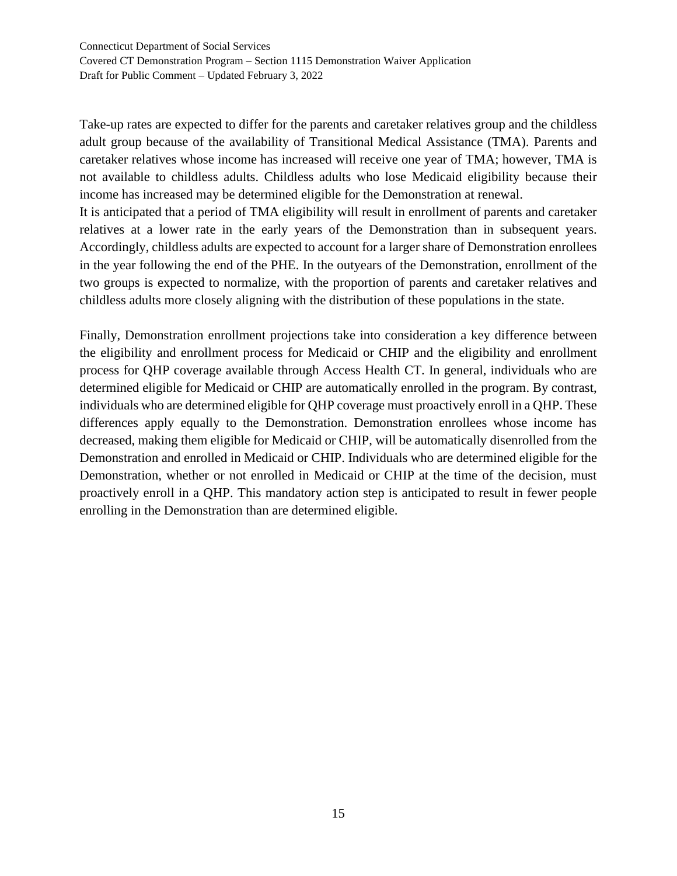Take-up rates are expected to differ for the parents and caretaker relatives group and the childless adult group because of the availability of Transitional Medical Assistance (TMA). Parents and caretaker relatives whose income has increased will receive one year of TMA; however, TMA is not available to childless adults. Childless adults who lose Medicaid eligibility because their income has increased may be determined eligible for the Demonstration at renewal.

It is anticipated that a period of TMA eligibility will result in enrollment of parents and caretaker relatives at a lower rate in the early years of the Demonstration than in subsequent years. Accordingly, childless adults are expected to account for a larger share of Demonstration enrollees in the year following the end of the PHE. In the outyears of the Demonstration, enrollment of the two groups is expected to normalize, with the proportion of parents and caretaker relatives and childless adults more closely aligning with the distribution of these populations in the state.

Finally, Demonstration enrollment projections take into consideration a key difference between the eligibility and enrollment process for Medicaid or CHIP and the eligibility and enrollment process for QHP coverage available through Access Health CT. In general, individuals who are determined eligible for Medicaid or CHIP are automatically enrolled in the program. By contrast, individuals who are determined eligible for QHP coverage must proactively enroll in a QHP. These differences apply equally to the Demonstration. Demonstration enrollees whose income has decreased, making them eligible for Medicaid or CHIP, will be automatically disenrolled from the Demonstration and enrolled in Medicaid or CHIP. Individuals who are determined eligible for the Demonstration, whether or not enrolled in Medicaid or CHIP at the time of the decision, must proactively enroll in a QHP. This mandatory action step is anticipated to result in fewer people enrolling in the Demonstration than are determined eligible.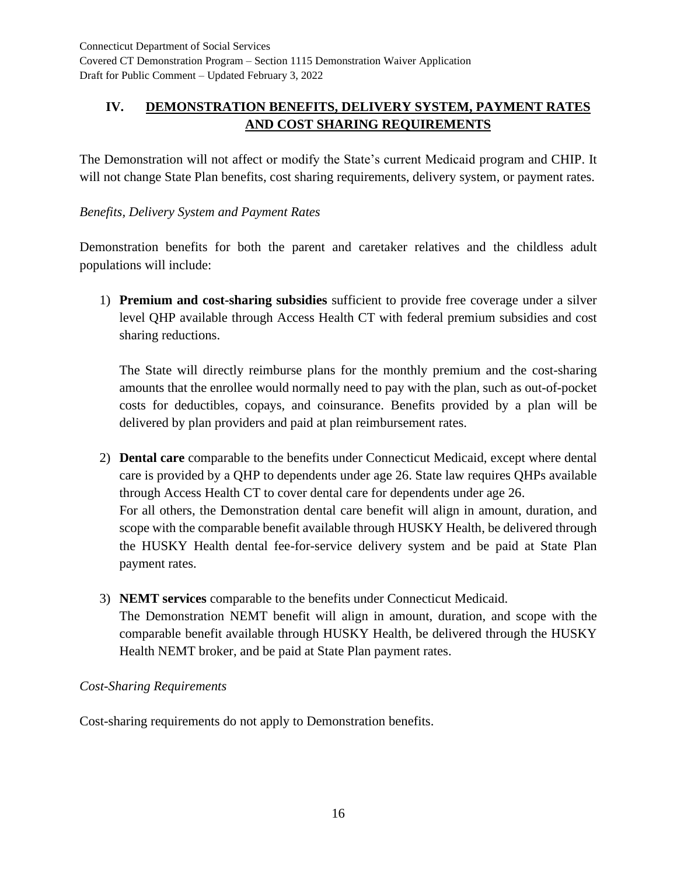# **IV. DEMONSTRATION BENEFITS, DELIVERY SYSTEM, PAYMENT RATES AND COST SHARING REQUIREMENTS**

The Demonstration will not affect or modify the State's current Medicaid program and CHIP. It will not change State Plan benefits, cost sharing requirements, delivery system, or payment rates.

## *Benefits, Delivery System and Payment Rates*

Demonstration benefits for both the parent and caretaker relatives and the childless adult populations will include:

1) **Premium and cost-sharing subsidies** sufficient to provide free coverage under a silver level QHP available through Access Health CT with federal premium subsidies and cost sharing reductions.

The State will directly reimburse plans for the monthly premium and the cost-sharing amounts that the enrollee would normally need to pay with the plan, such as out-of-pocket costs for deductibles, copays, and coinsurance. Benefits provided by a plan will be delivered by plan providers and paid at plan reimbursement rates.

- 2) **Dental care** comparable to the benefits under Connecticut Medicaid, except where dental care is provided by a QHP to dependents under age 26. State law requires QHPs available through Access Health CT to cover dental care for dependents under age 26. For all others, the Demonstration dental care benefit will align in amount, duration, and scope with the comparable benefit available through HUSKY Health, be delivered through the HUSKY Health dental fee-for-service delivery system and be paid at State Plan payment rates.
- 3) **NEMT services** comparable to the benefits under Connecticut Medicaid. The Demonstration NEMT benefit will align in amount, duration, and scope with the comparable benefit available through HUSKY Health, be delivered through the HUSKY Health NEMT broker, and be paid at State Plan payment rates.

## *Cost-Sharing Requirements*

Cost-sharing requirements do not apply to Demonstration benefits.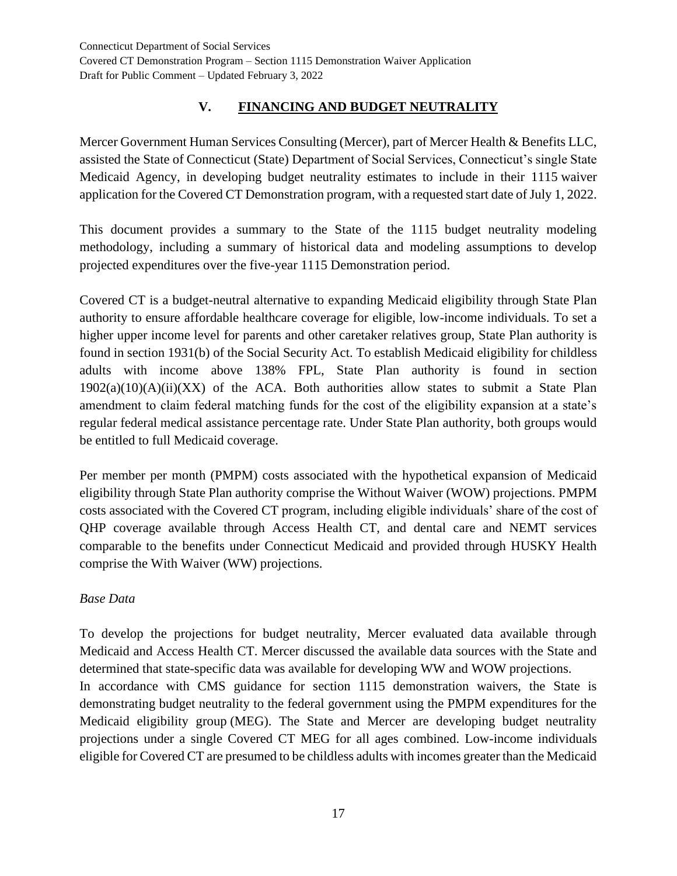# **V. FINANCING AND BUDGET NEUTRALITY**

Mercer Government Human Services Consulting (Mercer), part of Mercer Health & Benefits LLC, assisted the State of Connecticut (State) Department of Social Services, Connecticut's single State Medicaid Agency, in developing budget neutrality estimates to include in their 1115 waiver application for the Covered CT Demonstration program, with a requested start date of July 1, 2022.

This document provides a summary to the State of the 1115 budget neutrality modeling methodology, including a summary of historical data and modeling assumptions to develop projected expenditures over the five-year 1115 Demonstration period.

Covered CT is a budget-neutral alternative to expanding Medicaid eligibility through State Plan authority to ensure affordable healthcare coverage for eligible, low-income individuals. To set a higher upper income level for parents and other caretaker relatives group, State Plan authority is found in section 1931(b) of the Social Security Act. To establish Medicaid eligibility for childless adults with income above 138% FPL, State Plan authority is found in section  $1902(a)(10)(A)(ii)(XX)$  of the ACA. Both authorities allow states to submit a State Plan amendment to claim federal matching funds for the cost of the eligibility expansion at a state's regular federal medical assistance percentage rate. Under State Plan authority, both groups would be entitled to full Medicaid coverage.

Per member per month (PMPM) costs associated with the hypothetical expansion of Medicaid eligibility through State Plan authority comprise the Without Waiver (WOW) projections. PMPM costs associated with the Covered CT program, including eligible individuals' share of the cost of QHP coverage available through Access Health CT, and dental care and NEMT services comparable to the benefits under Connecticut Medicaid and provided through HUSKY Health comprise the With Waiver (WW) projections.

## *Base Data*

To develop the projections for budget neutrality, Mercer evaluated data available through Medicaid and Access Health CT. Mercer discussed the available data sources with the State and determined that state-specific data was available for developing WW and WOW projections. In accordance with CMS guidance for section 1115 demonstration waivers, the State is demonstrating budget neutrality to the federal government using the PMPM expenditures for the Medicaid eligibility group (MEG). The State and Mercer are developing budget neutrality projections under a single Covered CT MEG for all ages combined. Low-income individuals eligible for Covered CT are presumed to be childless adults with incomes greater than the Medicaid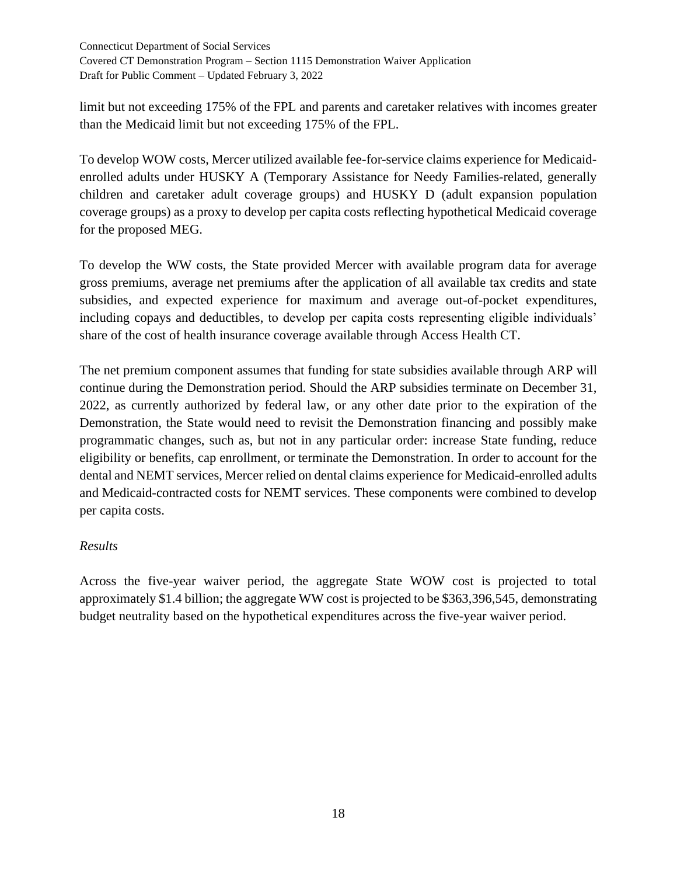limit but not exceeding 175% of the FPL and parents and caretaker relatives with incomes greater than the Medicaid limit but not exceeding 175% of the FPL.

To develop WOW costs, Mercer utilized available fee-for-service claims experience for Medicaidenrolled adults under HUSKY A (Temporary Assistance for Needy Families-related, generally children and caretaker adult coverage groups) and HUSKY D (adult expansion population coverage groups) as a proxy to develop per capita costs reflecting hypothetical Medicaid coverage for the proposed MEG.

To develop the WW costs, the State provided Mercer with available program data for average gross premiums, average net premiums after the application of all available tax credits and state subsidies, and expected experience for maximum and average out-of-pocket expenditures, including copays and deductibles, to develop per capita costs representing eligible individuals' share of the cost of health insurance coverage available through Access Health CT.

The net premium component assumes that funding for state subsidies available through ARP will continue during the Demonstration period. Should the ARP subsidies terminate on December 31, 2022, as currently authorized by federal law, or any other date prior to the expiration of the Demonstration, the State would need to revisit the Demonstration financing and possibly make programmatic changes, such as, but not in any particular order: increase State funding, reduce eligibility or benefits, cap enrollment, or terminate the Demonstration. In order to account for the dental and NEMT services, Mercer relied on dental claims experience for Medicaid-enrolled adults and Medicaid-contracted costs for NEMT services. These components were combined to develop per capita costs.

## *Results*

Across the five-year waiver period, the aggregate State WOW cost is projected to total approximately \$1.4 billion; the aggregate WW cost is projected to be \$363,396,545, demonstrating budget neutrality based on the hypothetical expenditures across the five-year waiver period.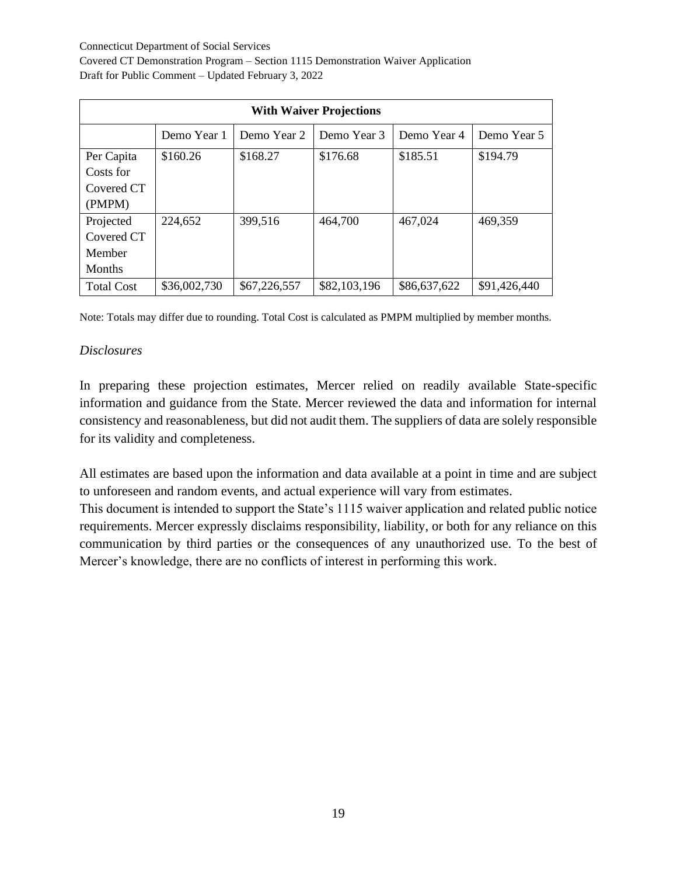Connecticut Department of Social Services

Covered CT Demonstration Program – Section 1115 Demonstration Waiver Application Draft for Public Comment – Updated February 3, 2022

| <b>With Waiver Projections</b> |              |              |              |              |              |
|--------------------------------|--------------|--------------|--------------|--------------|--------------|
|                                | Demo Year 1  | Demo Year 2  | Demo Year 3  | Demo Year 4  | Demo Year 5  |
| Per Capita                     | \$160.26     | \$168.27     | \$176.68     | \$185.51     | \$194.79     |
| Costs for                      |              |              |              |              |              |
| Covered CT                     |              |              |              |              |              |
| (PMPM)                         |              |              |              |              |              |
| Projected                      | 224,652      | 399,516      | 464,700      | 467,024      | 469,359      |
| Covered CT                     |              |              |              |              |              |
| Member                         |              |              |              |              |              |
| <b>Months</b>                  |              |              |              |              |              |
| <b>Total Cost</b>              | \$36,002,730 | \$67,226,557 | \$82,103,196 | \$86,637,622 | \$91,426,440 |

Note: Totals may differ due to rounding. Total Cost is calculated as PMPM multiplied by member months.

#### *Disclosures*

In preparing these projection estimates, Mercer relied on readily available State-specific information and guidance from the State. Mercer reviewed the data and information for internal consistency and reasonableness, but did not audit them. The suppliers of data are solely responsible for its validity and completeness.

All estimates are based upon the information and data available at a point in time and are subject to unforeseen and random events, and actual experience will vary from estimates.

This document is intended to support the State's 1115 waiver application and related public notice requirements. Mercer expressly disclaims responsibility, liability, or both for any reliance on this communication by third parties or the consequences of any unauthorized use. To the best of Mercer's knowledge, there are no conflicts of interest in performing this work.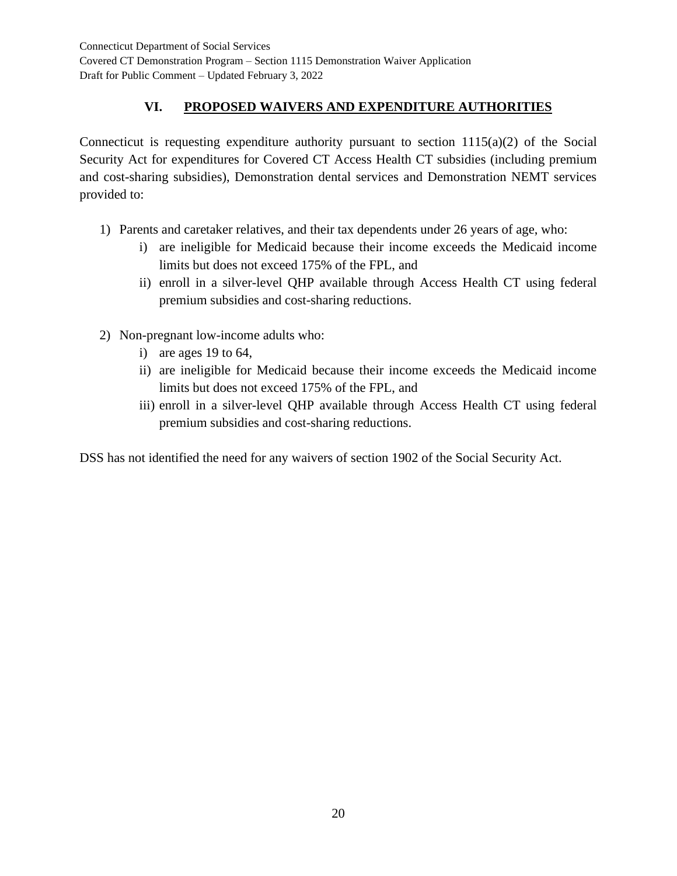# **VI. PROPOSED WAIVERS AND EXPENDITURE AUTHORITIES**

Connecticut is requesting expenditure authority pursuant to section  $1115(a)(2)$  of the Social Security Act for expenditures for Covered CT Access Health CT subsidies (including premium and cost-sharing subsidies), Demonstration dental services and Demonstration NEMT services provided to:

- 1) Parents and caretaker relatives, and their tax dependents under 26 years of age, who:
	- i) are ineligible for Medicaid because their income exceeds the Medicaid income limits but does not exceed 175% of the FPL, and
	- ii) enroll in a silver-level QHP available through Access Health CT using federal premium subsidies and cost-sharing reductions.
- 2) Non-pregnant low-income adults who:
	- i) are ages 19 to 64,
	- ii) are ineligible for Medicaid because their income exceeds the Medicaid income limits but does not exceed 175% of the FPL, and
	- iii) enroll in a silver-level QHP available through Access Health CT using federal premium subsidies and cost-sharing reductions.

DSS has not identified the need for any waivers of section 1902 of the Social Security Act.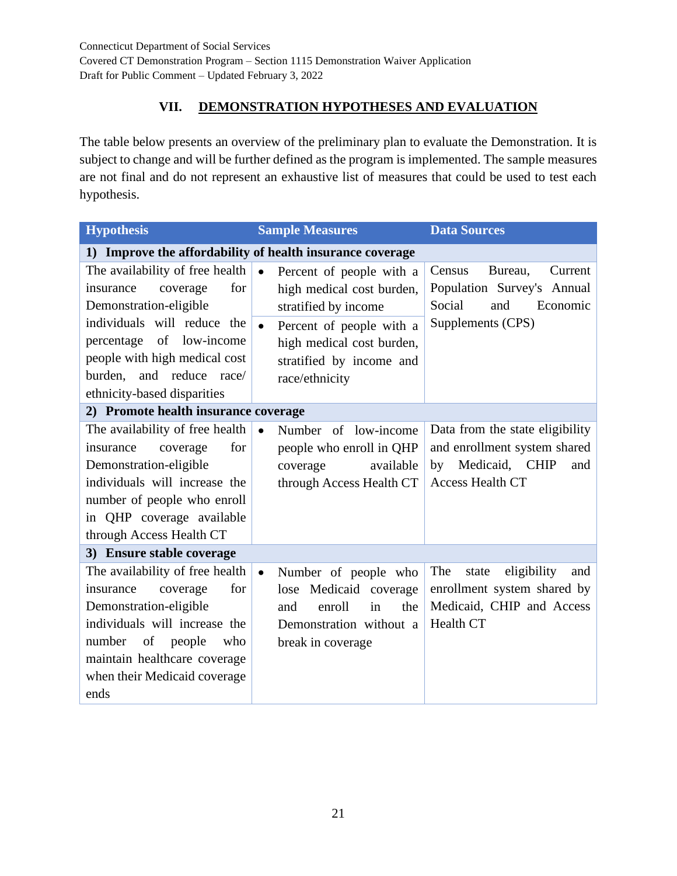# **VII. DEMONSTRATION HYPOTHESES AND EVALUATION**

The table below presents an overview of the preliminary plan to evaluate the Demonstration. It is subject to change and will be further defined as the program is implemented. The sample measures are not final and do not represent an exhaustive list of measures that could be used to test each hypothesis.

| <b>Hypothesis</b>                                                                                                                                                                                                                   | <b>Sample Measures</b>                                                                                                                    | <b>Data Sources</b>                                                                                                       |  |  |  |  |
|-------------------------------------------------------------------------------------------------------------------------------------------------------------------------------------------------------------------------------------|-------------------------------------------------------------------------------------------------------------------------------------------|---------------------------------------------------------------------------------------------------------------------------|--|--|--|--|
| Improve the affordability of health insurance coverage<br>$\bf{1)}$                                                                                                                                                                 |                                                                                                                                           |                                                                                                                           |  |  |  |  |
| The availability of free health<br>for<br>insurance<br>coverage<br>Demonstration-eligible                                                                                                                                           | $\bullet$<br>Percent of people with a<br>high medical cost burden,<br>stratified by income                                                | Census<br>Bureau,<br>Current<br>Population Survey's Annual<br>Social<br>and<br>Economic                                   |  |  |  |  |
| individuals will reduce the<br>of<br>low-income<br>percentage<br>people with high medical cost<br>and reduce race/<br>burden,<br>ethnicity-based disparities                                                                        | $\bullet$<br>Percent of people with a<br>high medical cost burden,<br>stratified by income and<br>race/ethnicity                          | Supplements (CPS)                                                                                                         |  |  |  |  |
| 2) Promote health insurance coverage                                                                                                                                                                                                |                                                                                                                                           |                                                                                                                           |  |  |  |  |
| The availability of free health<br>for<br>coverage<br>insurance<br>Demonstration-eligible<br>individuals will increase the<br>number of people who enroll<br>in QHP coverage available<br>through Access Health CT                  | Number of low-income<br>$\bullet$<br>people who enroll in QHP<br>available<br>coverage<br>through Access Health CT                        | Data from the state eligibility<br>and enrollment system shared<br>Medicaid, CHIP<br>by<br>and<br><b>Access Health CT</b> |  |  |  |  |
| 3) Ensure stable coverage                                                                                                                                                                                                           |                                                                                                                                           |                                                                                                                           |  |  |  |  |
| The availability of free health<br>for<br>insurance<br>coverage<br>Demonstration-eligible<br>individuals will increase the<br>number<br>of<br>people<br>who<br>maintain healthcare coverage<br>when their Medicaid coverage<br>ends | Number of people who<br>$\bullet$<br>lose Medicaid coverage<br>enroll<br>the<br>and<br>in<br>Demonstration without a<br>break in coverage | eligibility<br>The<br>state<br>and<br>enrollment system shared by<br>Medicaid, CHIP and Access<br>Health CT               |  |  |  |  |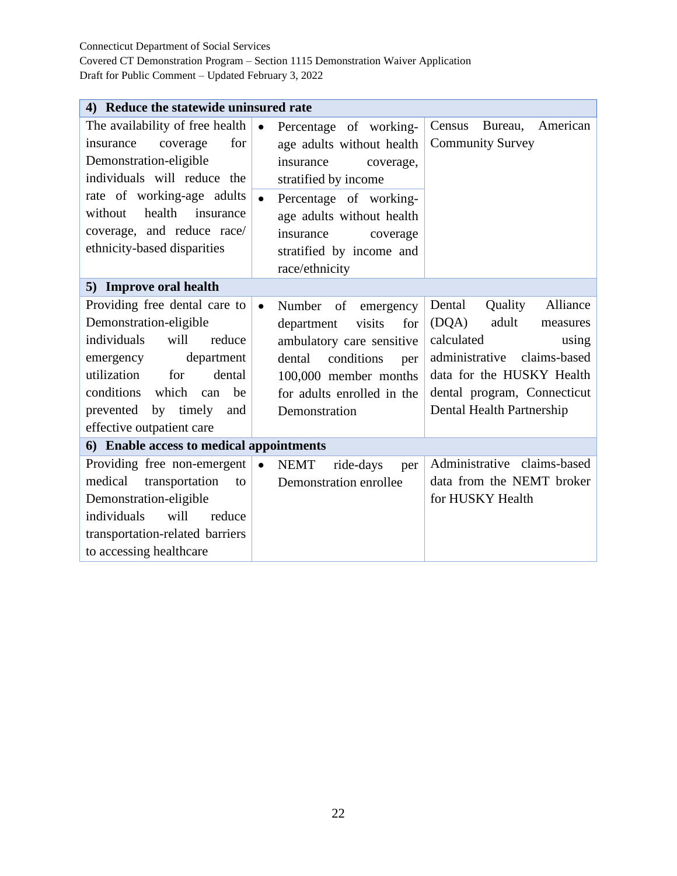#### Connecticut Department of Social Services

Covered CT Demonstration Program – Section 1115 Demonstration Waiver Application Draft for Public Comment – Updated February 3, 2022

| 4) Reduce the statewide uninsured rate                                                                                                                                                                                                                |           |                                                                                                                                                                                              |                                                                                                                                                                                                               |  |  |
|-------------------------------------------------------------------------------------------------------------------------------------------------------------------------------------------------------------------------------------------------------|-----------|----------------------------------------------------------------------------------------------------------------------------------------------------------------------------------------------|---------------------------------------------------------------------------------------------------------------------------------------------------------------------------------------------------------------|--|--|
| The availability of free health<br>for<br>coverage<br>insurance<br>Demonstration-eligible<br>individuals will reduce the                                                                                                                              | $\bullet$ | Percentage of working-<br>age adults without health<br>insurance<br>coverage,<br>stratified by income                                                                                        | American<br>Census<br>Bureau,<br><b>Community Survey</b>                                                                                                                                                      |  |  |
| rate of working-age adults<br>health<br>without<br>insurance<br>coverage, and reduce race/<br>ethnicity-based disparities                                                                                                                             | $\bullet$ | Percentage of working-<br>age adults without health<br>insurance<br>coverage<br>stratified by income and<br>race/ethnicity                                                                   |                                                                                                                                                                                                               |  |  |
| 5) Improve oral health                                                                                                                                                                                                                                |           |                                                                                                                                                                                              |                                                                                                                                                                                                               |  |  |
| Providing free dental care to<br>Demonstration-eligible<br>individuals<br>will<br>reduce<br>department<br>emergency<br>utilization<br>for<br>dental<br>which<br>conditions<br>be<br>can<br>by timely<br>prevented<br>and<br>effective outpatient care |           | Number<br>of<br>emergency<br>visits<br>department<br>for<br>ambulatory care sensitive<br>conditions<br>dental<br>per<br>100,000 member months<br>for adults enrolled in the<br>Demonstration | Dental<br>Quality<br>Alliance<br>(DQA)<br>adult<br>measures<br>calculated<br>using<br>claims-based<br>administrative<br>data for the HUSKY Health<br>dental program, Connecticut<br>Dental Health Partnership |  |  |
| 6) Enable access to medical appointments                                                                                                                                                                                                              |           |                                                                                                                                                                                              |                                                                                                                                                                                                               |  |  |
| Providing free non-emergent<br>medical<br>transportation<br>to<br>Demonstration-eligible<br>individuals<br>will<br>reduce<br>transportation-related barriers<br>to accessing healthcare                                                               | $\bullet$ | <b>NEMT</b><br>ride-days<br>per<br>Demonstration enrollee                                                                                                                                    | Administrative claims-based<br>data from the NEMT broker<br>for HUSKY Health                                                                                                                                  |  |  |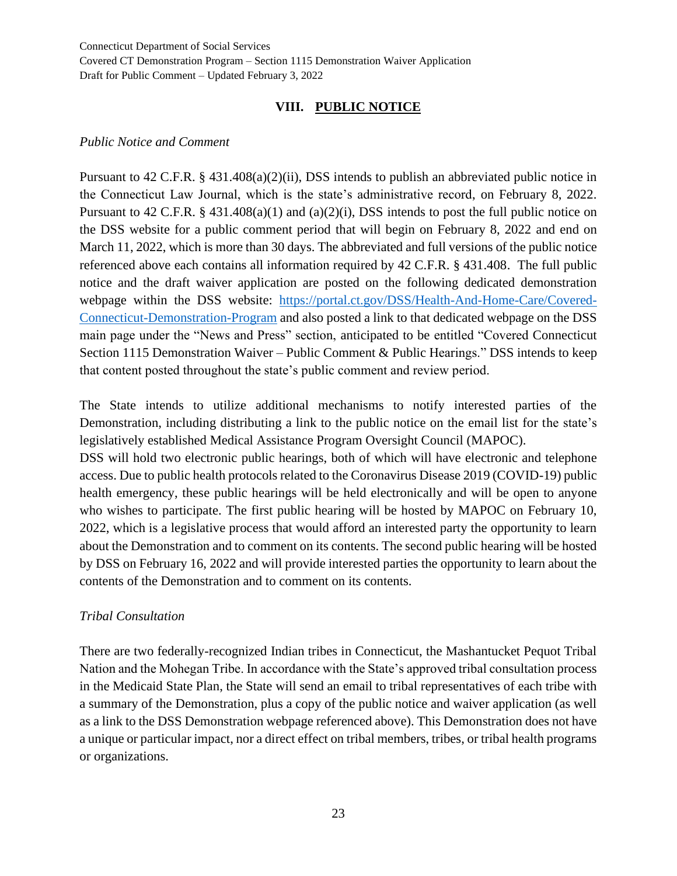## **VIII. PUBLIC NOTICE**

#### *Public Notice and Comment*

Pursuant to 42 C.F.R. § 431.408(a)(2)(ii), DSS intends to publish an abbreviated public notice in the Connecticut Law Journal, which is the state's administrative record, on February 8, 2022. Pursuant to 42 C.F.R. § 431.408(a)(1) and (a)(2)(i), DSS intends to post the full public notice on the DSS website for a public comment period that will begin on February 8, 2022 and end on March 11, 2022, which is more than 30 days. The abbreviated and full versions of the public notice referenced above each contains all information required by 42 C.F.R. § 431.408. The full public notice and the draft waiver application are posted on the following dedicated demonstration webpage within the DSS website: [https://portal.ct.gov/DSS/Health-And-Home-Care/Covered-](https://portal.ct.gov/DSS/Health-And-Home-Care/Covered-Connecticut-Demonstration-Program)[Connecticut-Demonstration-Program](https://portal.ct.gov/DSS/Health-And-Home-Care/Covered-Connecticut-Demonstration-Program) and also posted a link to that dedicated webpage on the DSS main page under the "News and Press" section, anticipated to be entitled "Covered Connecticut Section 1115 Demonstration Waiver – Public Comment & Public Hearings." DSS intends to keep that content posted throughout the state's public comment and review period.

The State intends to utilize additional mechanisms to notify interested parties of the Demonstration, including distributing a link to the public notice on the email list for the state's legislatively established Medical Assistance Program Oversight Council (MAPOC).

DSS will hold two electronic public hearings, both of which will have electronic and telephone access. Due to public health protocols related to the Coronavirus Disease 2019 (COVID-19) public health emergency, these public hearings will be held electronically and will be open to anyone who wishes to participate. The first public hearing will be hosted by MAPOC on February 10, 2022, which is a legislative process that would afford an interested party the opportunity to learn about the Demonstration and to comment on its contents. The second public hearing will be hosted by DSS on February 16, 2022 and will provide interested parties the opportunity to learn about the contents of the Demonstration and to comment on its contents.

#### *Tribal Consultation*

There are two federally-recognized Indian tribes in Connecticut, the Mashantucket Pequot Tribal Nation and the Mohegan Tribe. In accordance with the State's approved tribal consultation process in the Medicaid State Plan, the State will send an email to tribal representatives of each tribe with a summary of the Demonstration, plus a copy of the public notice and waiver application (as well as a link to the DSS Demonstration webpage referenced above). This Demonstration does not have a unique or particular impact, nor a direct effect on tribal members, tribes, or tribal health programs or organizations.